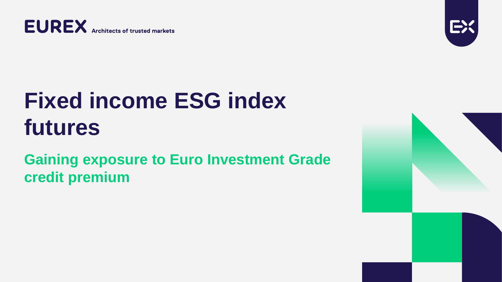**EUREX** Architects of trusted markets

# **Fixed income ESG index futures**

### **Gaining exposure to Euro Investment Grade credit premium**

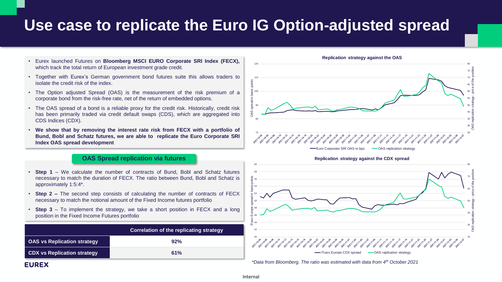### **Use case to replicate the Euro IG Option-adjusted spread**

- Eurex launched Futures on **Bloomberg MSCI EURO Corporate SRI Index (FECX),** which track the total return of European investment grade credit.
- Together with Eurex's German government bond futures suite this allows traders to isolate the credit risk of the index.
- The Option adjusted Spread (OAS) is the measurement of the risk premium of a corporate bond from the risk-free rate, net of the return of embedded options.
- The OAS spread of a bond is a reliable proxy for the credit risk. Historically, credit risk has been primarily traded via credit default swaps (CDS), which are aggregated into CDS Indices (CDX).
- **We show that by removing the interest rate risk from FECX with a portfolio of Bund, Bobl and Schatz futures, we are able to replicate the Euro Corporate SRI Index OAS spread development**

### **OAS Spread replication via futures**

- **Step 1** We calculate the number of contracts of Bund, Bobl and Schatz futures necessary to match the duration of FECX. The ratio between Bund, Bobl and Schatz is approximately 1:5:4\*.
- **Step 2 –** The second step consists of calculating the number of contracts of FECX necessary to match the notional amount of the Fixed Income futures portfolio
- **Step 3** To implement the strategy, we take a short position in FECX and a long position in the Fixed Income Futures portfolio

|                                    | Correlation of the replicating strategy |  |
|------------------------------------|-----------------------------------------|--|
| <b>OAS vs Replication strategy</b> | 92%                                     |  |
| <b>CDX vs Replication strategy</b> | 61%                                     |  |



**Replication strategy against the OAS**





*\*Data from Bloomberg. The ratio was estimated with data from 4th October 2021*

### **EUREX**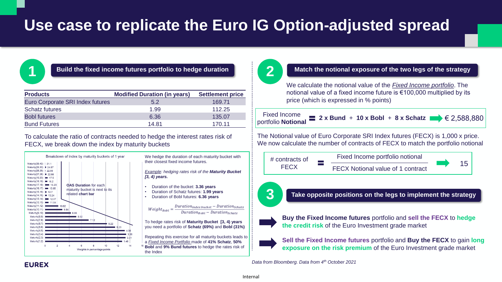## **Use case to replicate the Euro IG Option-adjusted spread**



### **1 2**

| <b>Products</b>                  | <b>Modified Duration (in years)</b> | <b>Settlement price</b> |
|----------------------------------|-------------------------------------|-------------------------|
| Euro Corporate SRI Index futures | 5.2                                 | 169.71                  |
| <b>Schatz futures</b>            | 1.99                                | 112.25                  |
| <b>Bobl futures</b>              | 6.36                                | 135.07                  |
| <b>Bund Futures</b>              | 14.81                               | 170.11                  |

To calculate the ratio of contracts needed to hedge the interest rates risk of FECX, we break down the index by maturity buckets



We hedge the duration of each maturity bucket with their closest fixed income futures.

*Example: hedging rates risk of the Maturity Bucket [3, 4) years.*

- Duration of the bucket: **3.36 years**
- Duration of Schatz futures: **1.99 years**
- Duration of Bobl futures: **6.36 years**

 $Weight_{Robl}$  = - $Duration_{index \, bucket} -ّ$  *Duration*<sub>Schatz</sub>  $Duration_{Robl} - Duration_{Schatz}$ 

To hedge rates risk of **Maturity Bucket [3, 4) years**  you need a portfolio of **Schatz (69%)** and **Bobl (31%)**

Repeating this exercise for all maturity buckets leads to a *Fixed Income Portfolio* made of **41% Schatz**, **50% Bobl** and **9% Bund futures** to hedge the rates risk of the Index

### **3 Match the notional exposure of the two legs of the strategy** We calculate the notional value of the *Fixed Income portfolio*. The notional value of a fixed income future is €100,000 multiplied by its price (which is expressed in % points) Fixed Income portfolio notional **2** x Bund + 10 x Bobl + 8 x Schatz  $\bullet$   $\in$  2,588,880 # contracts of FECX FECX Notional value of 1 contract Fixed Income portfolio **Notional** The Notional value of Euro Corporate SRI Index futures (FECX) is 1,000 x price. We now calculate the number of contracts of FECX to match the portfolio notional **Take opposite positions on the legs to implement the strategy**



**Buy the Fixed Income futures** portfolio and **sell the FECX** to **hedge the credit risk** of the Euro Investment grade market

**Sell the Fixed Income futures** portfolio and **Buy the FECX** to gain **long exposure on the risk premium** of the Euro Investment grade market

*Data from Bloomberg. Data from 4th October 2021*

Internal